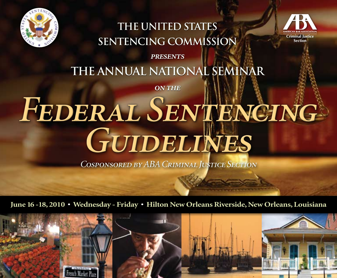

## **The United States Sentencing Commission**



*presents*

# **The Annual National Seminar**

*on the*

# *Federal Sentencing Guidelines*

*Cosponsored by ABA Criminal Justice Section*

**June 16 -18, 2010 • Wednesday - Friday • Hilton New Orleans Riverside, New Orleans, Louisiana** 

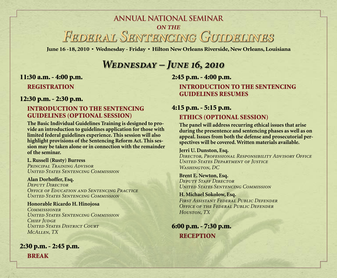# *Federal Sentencing Guidelines* **Annual National Seminar** *on the*

**June 16 -18, 2010 • Wednesday - Friday • Hilton New Orleans Riverside, New Orleans, Louisiana** 

### *Wednesday – June 16, 2010*

#### 11:30 a.m. - 4:00 p.m.

REGISTRATION

#### 12:30 p.m. - 2:30 p.m.

#### INTRODUCTION TO THE SENTENCING GUIDELINES (optional session)

**The Basic Individual Guidelines Training is designed to provide an introduction to guidelines application for those with limited federal guidelines experience. This session will also highlight provisions of the Sentencing Reform Act. This session may be taken alone or in connection with the remainder of the seminar.** 

**L. Russell (Rusty) Burress**  *Principal Training Advisor United States Sentencing Commission*

#### **Alan Dorhoffer, Esq.**

*Deputy Director Office of Education and Sentencing Practice United States Sentencing Commission* 

**Honorable Ricardo H. Hinojosa**  *Commissioner United States Sentencing Commission Chief Judge United States District Court McAllen, TX*

2:30 p.m. - 2:45 p.m. BREAK

2:45 p.m. - 4:00 p.m.

INTRODUCTION TO THE SENTENCING GUIDELINES RESUMES

#### 4:15 p.m. - 5:15 p.m.

#### ETHICS (Optional Session)

**The panel will address recurring ethical issues that arise during the presentence and sentencing phases as well as on appeal. Issues from both the defense and prosecutorial perspectives will be covered. Written materials available.** 

#### **Jerri U. Dunston, Esq.**

*Director, Professional Responsibility Advisory Office United States Department of Justice Washington, DC*

**Brent E. Newton, Esq.**  *Deputy Staff Director United States Sentencing Commission*

**H. Michael Sokolow, Esq.**  *First Assistant Federal Public Defender Office of the Federal Public Defender Houston, TX*

6:00 p.m. - 7:30 p.m. **RECEPTION**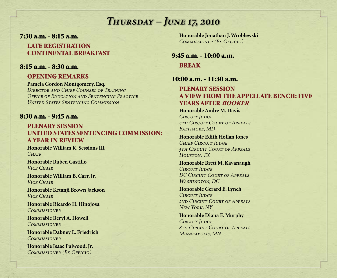### *Thursday – June 17, 2010*

7:30 a.m. - 8:15 a.m.

LATE REGISTRATION CONTINENTAL BREAKFAST

#### 8:15 a.m. - 8:30 a.m.

#### OPENING REMARKS

**Pamela Gordon Montgomery, Esq.**  *Director and Chief Counsel of Training Office of Education and Sentencing Practice United States Sentencing Commission* 

#### 8:30 a.m. - 9:45 a.m.

#### PLENARY SESSION UNITED STATES SENTENCING COMMISSION: A YEAR IN REVIEW

**Honorable William K. Sessions III**  *Chair*

**Honorable Ruben Castillo**  *Vice Chair*

**Honorable William B. Carr, Jr.**  *Vice Chair*

**Honorable Ketanji Brown Jackson**  *Vice Chair*

**Honorable Ricardo H. Hinojosa**  *Commissioner* 

**Honorable Beryl A. Howell**  *Commissioner*

**Honorable Dabney L. Friedrich**  *Commissioner*

**Honorable Isaac Fulwood, Jr.**  *Commissioner (Ex Officio)*

**Honorable Jonathan J. Wroblewski**  *Commissioner (Ex Officio)*

9:45 a.m. - 10:00 a.m. **BREAK** 

#### 10:00 a.m. - 11:30 a.m.

#### PLENARY SESSION A VIEW FROM THE APPELLATE BENCH: FIVE YEARS AFTER BOOKER

**Honorable Andre M. Davis**  *CIRCUIT JUDGE 4th Circuit Court of Appeals Baltimore, MD* 

**Honorable Edith Hollan Jones**  *Chief Circuit Judge 5th Circuit Court of Appeals Houston, TX*

**Honorable Brett M. Kavanaugh**  *Circuit Judge DC Circuit Court of Appeals Washington, DC*

**Honorable Gerard E. Lynch**  *Circuit Judge 2nd Circuit Court of Appeals New York, NY*

**Honorable Diana E. Murphy**  *Circuit Judge 8th Circuit Court of Appeals Minneapolis, MN*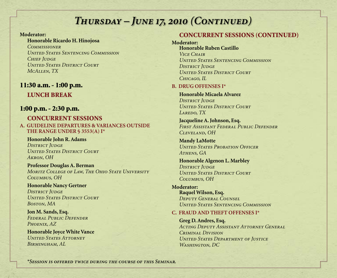#### **Moderator:**

#### **Honorable Ricardo H. Hinojosa**

*Commissioner United States Sentencing Commission Chief Judge United States District Court McAllen, TX*

#### 11:30 a.m. - 1:00 p.m.

#### LUNCH BREAK

#### 1:00 p.m. - 2:30 p.m.

#### CONCURRENT SESSIONS **A. GUIDELINE DEPARTURES & VARIANCES OUTSIDE**

**THE RANGE UNDER § 3553(A) I\***

#### **Honorable John R. Adams**  *District Judge United States District Court Akron, OH*

**Professor Douglas A. Berman**  *Moritz College of Law, The Ohio State University Columbus, OH*

#### **Honorable Nancy Gertner**  *District Judge United States District Court Boston, MA*

**Jon M. Sands, Esq.**  *Federal Public Defender Phoenix, AZ*

**Honorable Joyce White Vance**  *United States Attorney Birmingham, AL*

#### CONCURRENT SESSIONS (continued)

#### **Moderator:**

**Honorable Ruben Castillo**  *Vice Chair United States Sentencing Commission* **DISTRICT JUDGE** *United States District Court Chicago, IL*

#### **B. DRUG OFFENSES I\***

**Honorable Micaela Alvarez**  *District Judge United States District Court Laredo, TX* 

**Jacqueline A. Johnson, Esq.**  *First Assistant Federal Public Defender Cleveland, OH*

**Mandy LaMotte**  *United States Probation Officer Athens, GA*

**Honorable Algenon L. Marbley**  *District Judge United States District Court Columbus, OH*

#### **Moderator: Raquel Wilson, Esq.**  *Deputy General Counsel United States Sentencing Commission*

#### **C. FRAUD AND THEFT OFFENSES I\***

**Greg D. Andres, Esq.**  *Acting Deputy Assistant Attorney General Criminal Division United States Department of Justice Washington, DC*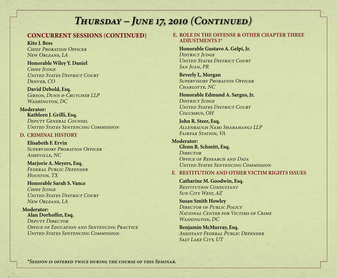#### CONCURRENT SESSIONS (continued)

**Kito J. Bess**  *Chief Probation Officer New Orleans, LA* 

**Honorable Wiley Y. Daniel**  *Chief Judge United States District Court Denver, CO*

**David Debold, Esq.**  *Gibson, Dunn & Crutcher LLP Washington, DC* 

**Moderator: Kathleen J. Grilli, Esq.**  *Deputy General Counsel United States Sentencing Commission*

#### **D. CRIMINAL HISTORY**

**Elisabeth F. Ervin**  *Supervisory Probation Officer Asheville, NC*

**Marjorie A. Meyers, Esq.**  *Federal Public Defender Houston, TX*

**Honorable Sarah S. Vance**  *Chief Judge United States District Court New Orleans, LA* 

**Moderator: Alan Dorhoffer, Esq.** 

*Deputy Director Office of Education and Sentencing Practice United States Sentencing Commission*

#### **E. ROLE IN THE OFFENSE & OTHER CHAPTER THREE ADJUSTMENTS I\***

**Honorable Gustavo A. Gelpi, Jr. DISTRICT JUDGE** *United States District Court San Juan, PR*

**Beverly L. Morgan**  *Supervisory Probation Officer Charlotte, NC*

**Honorable Edmund A. Sargus, Jr. DISTRICT JUDGE** *United States District Court Columbus, OH*

**John R. Steer, Esq.**  *Allenbaugh Nami Shabahangi LLP Fairfax Station, VA*

**Moderator: Glenn R. Schmitt, Esq.**  *Director Office of Research and Data United States Sentencing Commission*

#### **F. RESTITUTION AND OTHER VICTIM RIGHTS ISSUES**

**Catharine M. Goodwin, Esq.**  *Restitution Consultant Sun City West, AZ*

**Susan Smith Howley**  *Director of Public Policy National Center for Victims of Crime Washington, DC*

**Benjamin McMurray, Esq.**  *Assistant Federal Public Defender Salt Lake City, UT*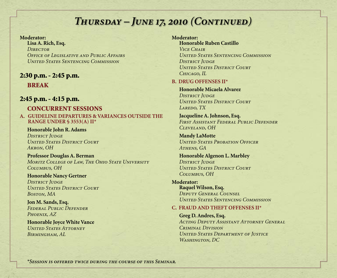#### **Moderator:**

**Lisa A. Rich, Esq.**  *Director Office of Legislative and Public Affairs United States Sentencing Commission*

#### 2:30 p.m. - 2:45 p.m. **BREAK**

#### 2:45 p.m. - 4:15 p.m.

#### CONCURRENT SESSIONS **A. GUIDELINE DEPARTURES & VARIANCES OUTSIDE THE RANGE UNDER § 3553(A) II\***

**Honorable John R. Adams**  *District Judge United States District Court Akron, OH*

**Professor Douglas A. Berman**  *Moritz College of Law, The Ohio State University Columbus, OH*

**Honorable Nancy Gertner**  *District Judge United States District Court Boston, MA*

**Jon M. Sands, Esq.**  *Federal Public Defender Phoenix, AZ*

**Honorable Joyce White Vance**  *United States Attorney Birmingham, AL*

#### **Moderator:**

**Honorable Ruben Castillo**  *Vice Chair United States Sentencing Commission* **DISTRICT JUDGE** *United States District Court Chicago, IL*

#### **B. DRUG OFFENSES II\***

**Honorable Micaela Alvarez**  *District Judge United States District Court Laredo, TX* 

**Jacqueline A. Johnson, Esq.**  *First Assistant Federal Public Defender Cleveland, OH*

**Mandy LaMotte**  *United States Probation Officer Athens, GA*

**Honorable Algenon L. Marbley**  *District Judge United States District Court Columbus, OH*

**Moderator: Raquel Wilson, Esq.**  *Deputy General Counsel United States Sentencing Commission*

#### **C. FRAUD AND THEFT OFFENSES II\***

**Greg D. Andres, Esq.**  *Acting Deputy Assistant Attorney General Criminal Division United States Department of Justice Washington, DC*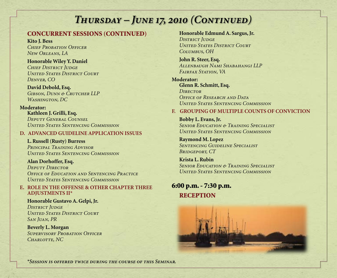#### CONCURRENT SESSIONS (continued)

**Kito J. Bess** *Chief Probation Officer New Orleans, LA* 

**Honorable Wiley Y. Daniel**  *Chief District Judge United States District Court Denver, CO*

**David Debold, Esq.** *Gibson, Dunn & Crutcher LLP Washington, DC* 

#### **Moderator:**

**Kathleen J. Grilli, Esq.** *Deputy General Counsel United States Sentencing Commission*

#### **D. ADVANCED GUIDELINE APPLICATION ISSUES**

**L. Russell (Rusty) Burress** *Principal Training Advisor United States Sentencing Commission*

**Alan Dorhoffer, Esq.** *Deputy Director Office of Education and Sentencing Practice United States Sentencing Commission*

#### **E. ROLE IN THE OFFENSE & OTHER CHAPTER THREE ADJUSTMENTS II\***

**Honorable Gustavo A. Gelpi, Jr.** *District Judge United States District Court San Juan, PR*

**Beverly L. Morgan**  *Supervisory Probation Officer Charlotte, NC*

**Honorable Edmund A. Sargus, Jr.** *DISTRICT JUDGE United States District Court Columbus, OH*

**John R. Steer, Esq.**  *Allenbaugh Nami Shabahangi LLP Fairfax Station, VA*

**Moderator: Glenn R. Schmitt, Esq.** *Director Office of Research and Data United States Sentencing Commission*

#### **F. GROUPING OF MULTIPLE COUNTS OF CONVICTION**

**Bobby L. Evans, Jr.** *Senior Education & Training Specialist United States Sentencing Commission*

**Raymond M. Lopez** *Sentencing Guideline Specialist Bridgeport, CT*

**Krista L. Rubin** *Senior Education & Training Specialist United States Sentencing Commission*

6:00 p.m. - 7:30 p.m. **RECEPTION** 

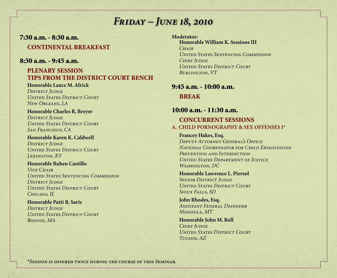### *Friday – June 18, 2010*

#### 7:30 a.m. - 8:30 a.m. CONTINENTAL BREAKFAST

#### 8:30 a.m. - 9:45 a.m.

#### PLENARY SESSION TIPS FROM THE DISTRICT COURT BENCH

#### **Honorable Lance M. Africk** *District Judge*

*United States District Court New Orleans, LA*

**Honorable Charles R. Breyer** *District Judge United States District Court San Francisco, CA* 

**Honorable Karen K. Caldwell DISTRICT JUDGE** *United States District Court Lexington, KY* 

#### **Honorable Ruben Castillo** *Vice Chair United States Sentencing Commission District Judge United States District Court Chicago, IL*

#### **Honorable Patti B. Saris DISTRICT JUDGE** *United States District Court Boston, MA*

**Moderator: Honorable William K. Sessions III** *Chair United States Sentencing Commission Chief Judge United States District Court Burlington, VT*

### 9:45 a.m. - 10:00 a.m.

**BREAK** 

### 10:00 a.m. - 11:30 a.m.

#### CONCURRENT SESSIONS **A. CHILD PORNOGRAPHY & SEX OFFENSES I\***

#### **Francey Hakes, Esq.**

*Deputy Attorney General's Office National Coordinator for Child Exploitation Prevention and Interdiction United States Department of Justice Washington, DC*

#### **Honorable Lawrence L. Piersol** *SENIOR DISTRICT JUDGE United States District Court Sioux Falls, SD*

**John Rhodes, Esq.**  *Assistant Federal Defender Missoula, MT*

**Honorable John M. Roll** *Chief Judge United States District Court Tucson, AZ*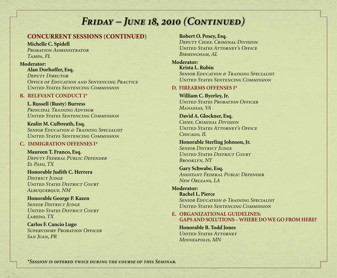#### CONCURREnt SeSSIONS (CONTINUED)

**Michelle C. Spidell**  *Probation Administrator Tampa, FL*

#### **Moderator:**

**Alan Dorhoffer, Esq.**  *Deputy Director Office of Education and Sentencing Practice United States Sentencing Commission*

#### **B. RELEVANT CONDUCT I\***

**L. Russell (Rusty) Burress** *Principal Training Advisor United States Sentencing Commission*

**Kealin M. Culbreath, Esq.**  *Senior Education & Training Specialist United States Sentencing Commission*

#### **C. IMMIGRATION OFFENSES I\***

**Maureen T. Franco, Esq.** *Deputy Federal Public Defender El Paso, TX*

**Honorable Judith C. Herrera DISTRICT JUDGE** *United States District Court Albuquerque, NM* 

**Honorable George P. Kazen** *SENIOR DISTRICT JUDGE United States District Court Laredo, TX* 

**Carlos F. Cancio Lugo** *Supervisory Probation Officer San Juan, PR*

#### **Robert O. Posey, Esq.**

*Deputy Chief, Criminal Division United States Attorney's Office Birmingham, AL*

**Moderator: Krista L. Rubin** *Senior Education & Training Specialist United States Sentencing Commission*

#### **D. FIREARMS OFFENSES I\***

**William C. Byerley, Jr.** *United States Probation Officer Manassas, VA*

**David A. Glockner, Esq.** *Chief, Criminal Division United States Attorney's Office Chicago, IL*

**Honorable Sterling Johnson, Jr.** *SENIOR DISTRICT JUDGE United States District Court Brooklyn, NY* 

**Gary Schwabe, Esq.**  *Assistant Federal Public Defender New Orleans, LA*

**Moderator: Rachel L. Pierce** *Senior Education & Training Specialist United States Sentencing Commission* 

**E. ORGANIZATIONAL GUIDELINES: GAPS AND SOLUTIONS – WHERE DO WE GO FROM HERE?**

**Honorable B. Todd Jones** *United States Attorney Minneapolis, MN*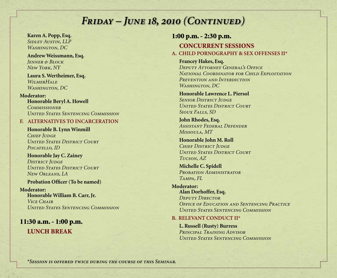**Karen A. Popp, Esq.** *Sidley Austin, LLP Washington, DC*

**Andrew Weissmann, Esq.**  *Jenner & Block New York, NY*

**Laura S. Wertheimer, Esq.**  *WilmerHale Washington, DC*

**Moderator: Honorable Beryl A. Howell** *Commissioner United States Sentencing Commission*

#### **F. ALTERNATIVES TO INCARCERATION**

**Honorable B. Lynn Winmill** *Chief Judge United States District Court Pocatello, ID*

**Honorable Jay C. Zainey** *DISTRICT JUDGE United States District Court New Orleans, LA*

#### **Probation Officer (To be named)**

**Moderator: Honorable William B. Carr, Jr.**  *Vice Chair United States Sentencing Commission*

11:30 a.m. - 1:00 p.m. LUNCH BREAK

#### 1:00 p.m. - 2:30 p.m.

#### CONCURRENT SESSIONS

#### **A. CHILD PORNOGRAPHY & SEX OFFENSES II\***

**Francey Hakes, Esq.** 

*Deputy Attorney General's Office National Coordinator for Child Exploitation Prevention and Interdiction Washington, DC*

#### **Honorable Lawrence L. Piersol** *SENIOR DISTRICT JUDGE United States District Court*

*Sioux Falls, SD* 

**John Rhodes, Esq.**  *Assistant Federal Defender Missoula, MT*

**Honorable John M. Roll** *Chief District Judge United States District Court Tucson, AZ*

**Michelle C. Spidell**  *Probation Administrator Tampa, FL*

**Moderator: Alan Dorhoffer, Esq.**  *Deputy Director Office of Education and Sentencing Practice United States Sentencing Commission*

#### **B. RELEVANT CONDUCT II\***

**L. Russell (Rusty) Burress** *Principal Training Advisor United States Sentencing Commission*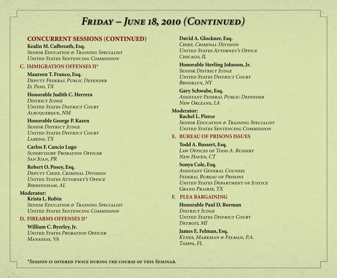#### CONCURREnt SeSSIONS (CONTINUED)

**Kealin M. Culbreath, Esq.**  *Senior Education & Training Specialist United States Sentencing Commission*

#### **C. IMMIGRATION OFFENSES II\***

**Maureen T. Franco, Esq.** *Deputy Federal Public Defender El Paso, TX*

**Honorable Judith C. Herrera** *District Judge United States District Court Albuquerque, NM* 

**Honorable George P. Kazen** *SENIOR DISTRICT JUDGE United States District Court Laredo, TX* 

**Carlos F. Cancio Lugo** *Supervisory Probation Officer San Juan, PR*

**Robert O. Posey, Esq.** *Deputy Chief, Criminal Division United States Attorney's Office Birmingham, AL* 

#### **Moderator:**

**Krista L. Rubin** *Senior Education & Training Specialist United States Sentencing Commission*

#### **D. FIREARMS OFFENSES II\***

**William C. Byerley, Jr.** *United States Probation Officer Manassas, VA*

**David A. Glockner, Esq.** *Chief, Criminal Division United States Attorney's Office Chicago, IL*

**Honorable Sterling Johnson, Jr.** *SENIOR DISTRICT JUDGE United States District Court Brooklyn, NY* 

**Gary Schwabe, Esq.**  *Assistant Federal Public Defender New Orleans, LA*

**Moderator: Rachel L. Pierce** *Senior Education & Training Specialist United States Sentencing Commission* 

#### **E. BUREAU OF PRISONS ISSUES**

**Todd A. Bussert, Esq.** *Law Offices of Todd A. Bussert New Haven, CT*

**Sonya Cole, Esq.** *Assistant General Counsel Federal Bureau of Prisons United States Department of Justice Grand Prairie, TX*

#### **F. PLEA BARGAINING**

**Honorable Paul D. Borman DISTRICT JUDGE** *United States District Court Detroit, MI*

**James E. Felman, Esq.**  *Kynes, Markman & Felman, P.A. Tampa, FL*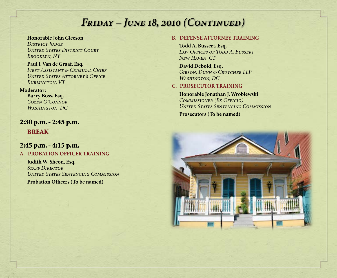**Honorable John Gleeson DISTRICT JUDGE** *United States District Court Brooklyn, NY*

**Paul J. Van de Graaf, Esq.**  *First Assistant & Criminal Chief United States Attorney's Office Burlington, VT*

#### **Moderator:**

**Barry Boss, Esq.**  *Cozen O'Connor Washington, DC*

2:30 p.m. - 2:45 p.m. BREAK

#### 2:45 p.m. - 4:15 p.m.

**A. PROBATION OFFICER TRAINING**

**Judith W. Sheon, Esq.** *Staff Director United States Sentencing Commission*

**Probation Officers (To be named)**

#### **B. DEFENSE ATTORNEY TRAINING**

**Todd A. Bussert, Esq.**  *Law Offices of Todd A. Bussert New Haven, CT* 

**David Debold, Esq.** *Gibson, Dunn & Crutcher LLP Washington, DC*

#### **C. PROSECUTOR TRAINING**

**Honorable Jonathan J. Wroblewski** *Commissioner (Ex Officio) United States Sentencing Commission*

**Prosecutors (To be named)**

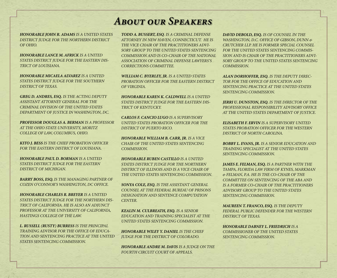### *About our Speakers*

*HONORABLE JOHN R. ADAMS IS A UNITED STATES DISTRICT JUDGE FOR THE NORTHERN DISTRICT OF OHIO.*

*HONORABLE LANCE M. AFRICK IS A UNITED STATES DISTRICT JUDGE FOR THE EASTERN DIS-TRICT OF LOUISIANA.*

*HONORABLE MICAELA ALVAREZ IS A UNITED STATES DISTRICT JUDGE FOR THE SOUTHERN DISTRICT OF TEXAS.*

*GREG D. ANDRES, ESQ. IS THE ACTING DEPUTY ASSISTANT ATTORNEY GENERAL FOR THE CRIMINAL DIVISION OF THE UNITED STATES DEPARTMENT OF JUSTICE IN WASHINGTON, DC.*

*PROFESSOR DOUGLAS A. BERMAN IS A PROFESSOR AT THE OHIO STATE UNIVERSITY, MORITZ COLLEGE OF LAW, COLUMBUS, OHIO.* 

*KITO J. BESS IS THE CHIEF PROBATION OFFICER FOR THE EASTERN DISTRICT OF LOUISIANA.*

*HONORABLE PAUL D. BORMAN IS A UNITED STATES DISTRICT JUDGE FOR THE EASTERN DISTRICT OF MICHIGAN.*

*BARRY BOSS, ESQ. IS THE MANAGING PARTNER OF COZEN O'CONNOR'S WASHINGTON, DC OFFICE.*

*HONORABLE CHARLES R. BREYER IS A UNITED STATES DISTRICT JUDGE FOR THE NORTHERN DIS-TRICT OF CALIFORNIA. HE IS ALSO AN ADJUNCT PROFESSOR AT THE UNIVERSITY OF CALIFORNIA, HASTINGS COLLEGE OF THE LAW.*

*L. RUSSELL (RUSTY) BURRESS IS THE PRINCIPAL TRAINING ADVISOR FOR THE OFFICE OF EDUCA-TION AND SENTENCING PRACTICE AT THE UNITED STATES SENTENCING COMMISSION.*

*TODD A. BUSSERT, ESQ. IS A CRIMINAL DEFENSE ATTORNEY IN NEW HAVEN, CONNECTICUT. HE IS THE VICE CHAIR OF THE PRACTITIONERS ADVI-SORY GROUP TO THE UNITED STATES SENTENCING COMMISSION AND IS CO-CHAIR OF THE NATIONAL ASSOCIATION OF CRIMINAL DEFENSE LAWYERS'S CORRECTIONS COMMITTEE.*

*WILLIAM C. BYERLEY, JR. IS A UNITED STATES PROBATION OFFICER FOR THE EASTERN DISTRICT OF VIRGINIA.* 

*HONORABLE KAREN K. CALDWELL IS A UNITED STATES DISTRICT JUDGE FOR THE EASTERN DIS-TRICT OF KENTUCKY.*

*CARLOS F. CANCIO LUGO IS A SUPERVISORY UNITED STATES PROBATION OFFICER FOR THE DISTRICT OF PUERTO RICO.*

*HONORABLE WILLIAM B. CARR, JR. IS A VICE CHAIR OF THE UNITED STATES SENTENCING COMMISSION.*

*HONORABLE RUBEN CASTILLO IS A UNITED STATES DISTRICT JUDGE FOR THE NORTHERN DISTRICT OF ILLINOIS AND IS A VICE CHAIR OF THE UNITED STATES SENTENCING COMMISSION.* 

*SONYA COLE, ESQ. IS THE ASSISTANT GENERAL COUNSEL AT THE FEDERAL BUREAU OF PRISONS DESIGNATION AND SENTENCE COMPUTATION CENTER.*

*KEALIN M. CULBREATH, ESQ. IS A SENIOR EDUCATION AND TRAINING SPECIALIST AT THE UNITED STATES SENTENCING COMMISSION.*

*HONORABLE WILEY Y. DANIEL IS THE CHIEF JUDGE FOR THE DISTRICT OF COLORADO.*

*HONORABLE ANDRE M. DAVIS IS A JUDGE ON THE FOURTH CIRCUIT COURT OF APPEALS.*

*DAVID DEBOLD, ESQ. IS OF COUNSEL IN THE WASHINGTON, D.C. OFFICE OF GIBSON, DUNN & CRUTCHER LLP. HE IS FORMER SPECIAL COUNSEL FOR THE UNITED STATES SENTENCING COMMIS-SION AND IS CHAIR OF THE PRACTITIONERS ADVI-SORY GROUP TO THE UNITED STATES SENTENCING COMMISSION.*

*ALAN DORHOFFER, ESQ. IS THE DEPUTY DIREC-TOR FOR THE OFFICE OF EDUCATION AND SENTENCING PRACTICE AT THE UNITED STATES SENTENCING COMMISSION.*

*JERRI U. DUNSTON, ESQ. IS THE DIRECTOR OF THE PROFESSIONAL RESPONSIBILITY ADVISORY OFFICE AT THE UNITED STATES DEPARTMENT OF JUSTICE.*

*ELISABETH F. ERVIN IS A SUPERVISORY UNITED STATES PROBATION OFFICER FOR THE WESTERN DISTRICT OF NORTH CAROLINA.*

*BOBBY L. EVANS, JR. IS A SENIOR EDUCATION AND TRAINING SPECIALIST AT THE UNITED STATES SENTENCING COMMISSION.*

*JAMES E. FELMAN, ESQ. IS A PARTNER WITH THE TAMPA, FLORIDA LAW FIRM OF KYNES, MARKMAN & FELMAN, P.A. HE IS THE CO-CHAIR OF THE COMMITTEE ON SENTENCING OF THE ABA AND IS A FORMER CO-CHAIR OF THE PRACTITIONERS ADVISORY GROUP TO THE UNITED STATES SENTENCING COMMISSION.*

*MAUREEN T. FRANCO, ESQ. IS THE DEPUTY FEDERAL PUBLIC DEFENDER FOR THE WESTERN DISTRICT OF TEXAS.*

*HONORABLE DABNEY L. FRIEDRICH IS A COMMISSIONER OF THE UNITED STATES SENTENCING COMMISSION.*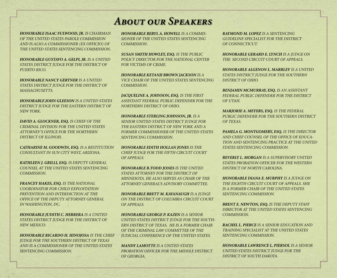### *About our Speakers*

*HONORABLE ISAAC FULWOOD, JR. IS CHAIRMAN OF THE UNITED STATES PAROLE COMMISSION AND IS ALSO A COMMISSIONER (EX OFFICIO) OF THE UNITED STATES SENTENCING COMMISSION.*

*HONORABLE GUSTAVO A. GELPI, JR. IS A UNITED STATES DISTRICT JUDGE FOR THE DISTRICT OF PUERTO RICO.*

*HONORABLE NANCY GERTNER IS A UNITED STATES DISTRICT JUDGE FOR THE DISTRICT OF MASSACHUSETTS.*

*HONORABLE JOHN GLEESON IS A UNITED STATES DISTRICT JUDGE FOR THE EASTERN DISTRICT OF NEW YORK.*

*DAVID A. GLOCKNER, ESQ. IS CHIEF OF THE CRIMINAL DIVISION FOR THE UNITED STATES ATTORNEY'S OFFICE FOR THE NORTHERN DISTRICT OF ILLINOIS.* 

*CATHARINE M. GOODWIN, ESQ. IS A RESTITUTION CONSULTANT IN SUN CITY WEST, ARIZONA.*

*KATHLEEN J. GRILLI, ESQ. IS DEPUTY GENERAL COUNSEL AT THE UNITED STATES SENTENCING COMMISSION.*

*FRANCEY HAKES, ESQ. IS THE NATIONAL COORDINATOR FOR CHILD EXPLOITATION PREVENTION AND INTERDICTION AT THE OFFICE OF THE DEPUTY ATTORNEY GENERAL IN WASHINGTON, DC.*

*HONORABLE JUDITH C. HERRERA IS A UNITED STATES DISTRICT JUDGE FOR THE DISTRICT OF NEW MEXICO.*

*HONORABLE RICARDO H. HINOJOSA IS THE CHIEF JUDGE FOR THE SOUTHERN DISTRICT OF TEXAS AND IS A COMMISSIONER OF THE UNITED STATES SENTENCING COMMISSION.* 

*HONORABLE BERYL A. HOWELL IS A COMMIS-SIONER OF THE UNITED STATES SENTENCING COMMISSION.*

*SUSAN SMITH HOWLEY, ESQ. IS THE PUBLIC POLICY DIRECTOR FOR THE NATIONAL CENTER FOR VICTIMS OF CRIME.* 

*HONORABLE KETANJI BROWN JACKSON IS A VICE CHAIR OF THE UNITED STATES SENTENCING COMMISSION.*

*JACQUELINE A. JOHNSON, ESQ. IS THE FIRST ASSISTANT FEDERAL PUBLIC DEFENDER FOR THE NORTHERN DISTRICT OF OHIO.*

*HONORABLE STERLING JOHNSON, JR. IS A SENIOR UNITED STATES DISTRICT JUDGE FOR THE EASTERN DISTRICT OF NEW YORK AND A FORMER COMMISSIONER OF THE UNITED STATES SENTENCING COMMISSION.*

*HONORABLE EDITH HOLLAN JONES IS THE CHIEF JUDGE FOR THE FIFTH CIRCUIT COURT OF APPEALS.*

*HONORABLE B.TODD JONES IS THE UNITED STATES ATTORNEY FOR THE DISTRICT OF MINNESOTA. HE ALSO SERVES AS CHAIR OF THE ATTORNEY GENERAL'S ADVISORY COMMITTEE.*

*HONORABLE BRETT M. KAVANAUGH IS A JUDGE ON THE DISTRICT OF COLUMBIA CIRCUIT COURT OF APPEALS.*

*HONORABLE GEORGE P. KAZEN IS A SENIOR UNITED STATES DISTRICT JUDGE FOR THE SOUTH-ERN DISTRICT OF TEXAS. HE IS A FORMER CHAIR OF THE CRIMINAL LAW COMMITTEE OF THE JUDICIAL CONFERENCE OF THE UNITED STATES.*

*MANDY LAMOTTE IS A UNITED STATES PROBATION OFFICER FOR THE MIDDLE DISTRICT OF GEORGIA.* 

*RAYMOND M. LOPEZ IS A SENTENCING GUIDELINE SPECIALIST FOR THE DISTRICT OF CONNECTICUT.*

*HONORABLE GERARD E. LYNCH IS A JUDGE ON THE SECOND CIRCUIT COURT OF APPEALS.*

*HONORABLE ALGENON L. MARBLEY IS A UNITED STATES DISTRICT JUDGE FOR THE SOUTHERN DISTRICT OF OHIO.*

*BENJAMIN MCMURRAY, ESQ. IS AN ASSISTANT FEDERAL PUBLIC DEFENDER FOR THE DISTRICT OF UTAH.* 

*MARJORIE A. MEYERS, ESQ. IS THE FEDERAL PUBLIC DEFENDER FOR THE SOUTHERN DISTRICT OF TEXAS.*

*PAMELA G. MONTGOMERY, ESQ. IS THE DIRECTOR AND CHIEF COUNSEL OF THE OFFICE OF EDUCA-TION AND SENTENCING PRACTICE AT THE UNITED STATES SENTENCING COMMISSION.*

*BEVERLY L. MORGAN IS A SUPERVISORY UNITED STATES PROBATION OFFICER FOR THE WESTERN DISTRICT OF NORTH CAROLINA.*

*HONORABLE DIANA E. MURPHY IS A JUDGE ON THE EIGHTH CIRCUIT COURT OF APPEALS. SHE IS A FORMER CHAIR OF THE UNITED STATES SENTENCING COMMISSION.*

*BRENT E. NEWTON, ESQ. IS THE DEPUTY STAFF DIRECTOR AT THE UNITED STATES SENTENCING COMMISSION.*

*RACHEL L. PIERCE IS A SENIOR EDUCATION AND TRAINING SPECIALIST AT THE UNITED STATES SENTENCING COMMISSION.*

*HONORABLE LAWRENCE L. PIERSOL IS A SENIOR UNITED STATES DISTRICT JUDGE FOR THE DISTRICT OF SOUTH DAKOTA.*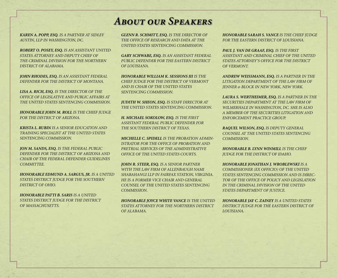### *About our Speakers*

*KAREN A. POPP, ESQ. IS A PARTNER AT SIDLEY AUSTIN, LLP IN WASHINGTON, DC.*

*ROBERT O. POSEY, ESQ. IS AN ASSISTANT UNITED STATES ATTORNEY AND DEPUTY CHIEF OF THE CRIMINAL DIVISION FOR THE NORTHERN DISTRICT OF ALABAMA.* 

*JOHN RHODES, ESQ. IS AN ASSISTANT FEDERAL DEFENDER FOR THE DISTRICT OF MONTANA.* 

*LISA A. RICH, ESQ. IS THE DIRECTOR OF THE OFFICE OF LEGISLATIVE AND PUBLIC AFFAIRS AT THE UNITED STATES SENTENCING COMMISSION.*

*HONORABLE JOHN M. ROLL IS THE CHIEF JUDGE FOR THE DISTRICT OF ARIZONA.*

*KRISTA L. RUBIN IS A SENIOR EDUCATION AND TRAINING SPECIALIST AT THE UNITED STATES SENTENCING COMMISSION.*

*JON M. SANDS, ESQ. IS THE FEDERAL PUBLIC DEFENDER FOR THE DISTRICT OF ARIZONA AND CHAIR OF THE FEDERAL DEFENDER GUIDELINES COMMITTEE.*

*HONORABLE EDMUND A. SARGUS, JR. IS A UNITED STATES DISTRICT JUDGE FOR THE SOUTHERN DISTRICT OF OHIO.*

*HONORABLE PATTI B. SARIS IS A UNITED STATES DISTRICT JUDGE FOR THE DISTRICT OF MASSACHUSETTS.*

*GLENN R. SCHMITT, ESQ. IS THE DIRECTOR OF THE OFFICE OF RESEARCH AND DATA AT THE UNITED STATES SENTENCING COMMISSION.*

*GARY SCHWABE, ESQ. IS AN ASSISTANT FEDERAL PUBLIC DEFENDER FOR THE EASTERN DISTRICT OF LOUISIANA.*

*HONORABLE WILLIAM K. SESSIONS III IS THE CHIEF JUDGE FOR THE DISTRICT OF VERMONT AND IS CHAIR OF THE UNITED STATES SENTENCING COMMISSION.*

*JUDITH W. SHEON, ESQ. IS STAFF DIRECTOR AT THE UNITED STATES SENTENCING COMMISSION.*

*H. MICHAEL SOKOLOW, ESQ. IS THE FIRST ASSISTANT FEDERAL PUBLIC DEFENDER FOR THE SOUTHERN DISTRICT OF TEXAS.*

*MICHELLE C. SPIDELL IS THE PROBATION ADMIN-ISTRATOR FOR THE OFFICE OF PROBATION AND PRETRIAL SERVICES OF THE ADMINISTRATIVE OFFICE OF THE UNITED STATES COURTS.*

*JOHN R. STEER, ESQ. IS A SENIOR PARTNER WITH THE LAW FIRM OF ALLENBAUGH NAMI SHABAHANGI LLP IN FAIRFAX STATION, VIRGINIA. HE IS A FORMER VICE CHAIR AND GENERAL COUNSEL OF THE UNITED STATES SENTENCING COMMISSION.*

*HONORABLE JOYCE WHITE VANCE IS THE UNITED STATES ATTORNEY FOR THE NORTHERN DISTRICT OF ALABAMA.*

*HONORABLE SARAH S. VANCE IS THE CHIEF JUDGE FOR THE EASTERN DISTRICT OF LOUISIANA.*

*PAUL J. VAN DE GRAAF, ESQ. IS THE FIRST ASSISTANT AND CRIMINAL CHIEF OF THE UNITED STATES ATTORNEY'S OFFICE FOR THE DISTRICT OF VERMONT.*

*ANDREW WEISSMANN, ESQ. IS A PARTNER IN THE LITIGATION DEPARTMENT OF THE LAW FIRM OF JENNER & BLOCK IN NEW YORK, NEW YORK.*

*LAURA S. WERTHEIMER, ESQ. IS A PARTNER IN THE SECURITIES DEPARTMENT AT THE LAW FIRM OF WILMERHALE IN WASHINGTON, DC. SHE IS ALSO A MEMBER OF THE SECURITIES LITIGATION AND ENFORCEMENT PRACTICE GROUP.*

*RAQUEL WILSON, ESQ. IS DEPUTY GENERAL COUNSEL AT THE UNITED STATES SENTENCING COMMISSION.*

*HONORABLE B. LYNN WINMILL IS THE CHIEF JUDGE FOR THE DISTRICT OF IDAHO.*

*HONORABLE JONATHAN J. WROBLEWSKI IS A COMMISSIONER (EX OFFICIO) OF THE UNITED STATES SENTENCING COMMISSION AND IS DIREC-TOR OF THE OFFICE OF POLICY AND LEGISLATION IN THE CRIMINAL DIVISION OF THE UNITED STATES DEPARTMENT OF JUSTICE.*

*HONORABLE JAY C. ZAINEY IS A UNITED STATES DISTRICT JUDGE FOR THE EASTERN DISTRICT OF LOUISIANA.*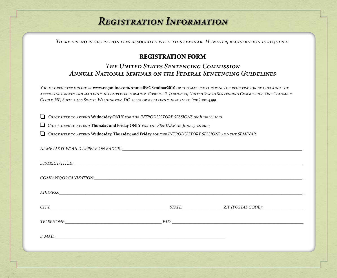### *Registration Information*

*There are no registration fees associated with this seminar. However, registration is required.*

#### REGISTRATION FORM

#### *The United States Sentencing Commission Annual National Seminar on the Federal Sentencing Guidelines*

*You may register online at* **www.regonline.com/AnnualFSGSeminar2010** *or you may use this page for registration by checking the appropriate boxes and mailing the completed form to: Cosette R. Jablonski, United States Sentencing Commission, One Columbus Circle, NE, Suite 2-500 South, Washington, DC 20002 or by faxing the form to (202) 502-4599.* 

o *Check here to attend* **Wednesday ONLY** *for the INTRODUCTORY SESSIONS on June 16, 2010.*

o *Check here to attend* **Thursday and Friday ONLY** *for the SEMINAR on June 17-18, 2010.*

NAME (AS IT WOULD APPEAR ON BADGE).

o *Check here to attend* **Wednesday, Thursday, and Friday** *for the INTRODUCTORY SESSIONS and the SEMINAR.*

| TELEPHONE: FAX: FAX: |  |
|----------------------|--|
| $E-MAIL:$            |  |
|                      |  |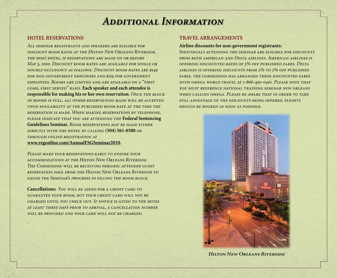### *Additional Information*

#### **HOTEL RESERVATIONS**

*.*

*All seminar registrants and speakers are eligible for discount room rates at the Hilton New Orleans Riverside, the host hotel, if reservations are made on or before May 5, 2010. Discount room rates are available for single or double occupancy as follows: Discount room rates are \$149 for non-government employees and \$119 for government employees. Rooms are limited and are available on a "first come, first served" basis.* **Each speaker and each attendee is responsible for making his or her own reservation***. Once the block of rooms is full, all other reservations made will be accepted upon availability at the published room rate at the time the reservation is made. When making reservations by telephone, please indicate that you are attending the* **Federal Sentencing Guidelines Seminar.** *Room reservations may be made either directly with the hotel by calling* **(504) 561-0500** *or through online registration at*  **www.regonline.com/AnnualFSGSeminar2010.**

*Please make your reservations early to ensure your accommodations at the Hilton New Orleans Riverside. The Commission will be receiving periodic attendee guest reservation data from the Hilton New Orleans Riverside to gauge the Seminar's progress in filling the room block.* 

**Cancellations:** *You will be asked for a credit card to*  GUARANTEE YOUR ROOM, BUT YOUR CREDIT CARD WILL NOT BE *charged until you check out. If notice is given to the hotel at least three days prior to arrival, a cancellation number will be provided and your card will not be charged.* 

#### **TRAVEL ARRANGEMENTS**

#### **Airline discounts for non-government registrants:**

*Individuals attending the seminar are eligible for discounts from both american and Delta airlines. American airlines is offering discounted rates of 5% off published fares. Delta airlines is offering discounts from 2% to 5% off published fares. the commission has arranged these discounted fares with omega world travel at 1-866-450-0401. Please note that you must reference national training seminar new orleans when calling omega. Please be aware that in order to take full advantage of the discounts being offered, flights should be booked as soon as possible.* 



*Hilton New Orleans Riverside*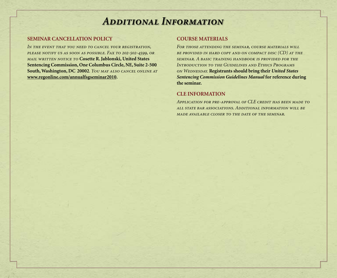### *Additional Information*

#### **SEMINAR CANCELLATION POLICY**

*In the event that you need to cancel your registration, please notify us as soon as possible. Fax to 202-502-4599, or mail written notice to* **Cosette R. Jablonski, United States Sentencing Commission, One Columbus Circle, NE, Suite 2-500 South, Washington, DC 20002***. You may also cancel online at*  **www.regonline.com/annualfsgseminar2010.**

#### **COURSE MATERIALS**

FOR THOSE ATTENDING THE SEMINAR, COURSE MATERIALS WILL *be provided in hard copy and on compact disc (CD) at the seminar. A basic training handbook is provided for the Introduction to the Guidelines and Ethics Programs on Wednesday.* **Registrants should bring their** *United States Sentencing Commission Guidelines Manual* **for reference during the seminar.** 

#### **CLE INFORMATION**

*Application for pre-approval of CLE credit has been made to all state bar associations. Additional information will be made available closer to the date of the seminar.*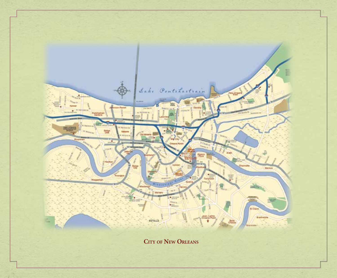